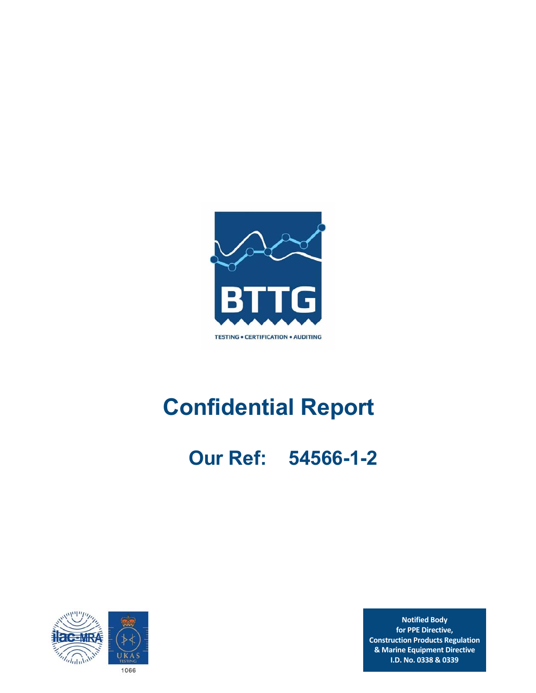

# **Confidential Report**

 **Our Ref: 54566-1-2** 



**Notified Body for PPE Directive, Construction Products Regulation & Marine Equipment Directive I.D. No. 0338 & 0339**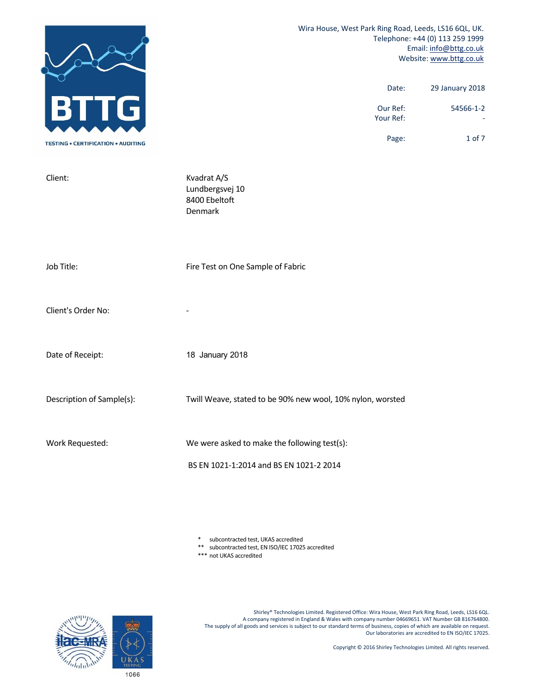|                                           | Wira House, West Park Ring Road, Leeds, LS16 6QL, UK.<br>Telephone: +44 (0) 113 259 1999<br>Email: info@bttg.co.uk<br>Website: www.bttg.co.uk |  |  |  |
|-------------------------------------------|-----------------------------------------------------------------------------------------------------------------------------------------------|--|--|--|
|                                           | 29 January 2018<br>Date:<br>Our Ref:<br>54566-1-2<br>Your Ref:                                                                                |  |  |  |
| <b>TESTING . CERTIFICATION . AUDITING</b> | 1 of 7<br>Page:                                                                                                                               |  |  |  |
| Client:                                   | Kvadrat A/S<br>Lundbergsvej 10<br>8400 Ebeltoft<br>Denmark                                                                                    |  |  |  |
| Job Title:                                | Fire Test on One Sample of Fabric                                                                                                             |  |  |  |
| Client's Order No:                        |                                                                                                                                               |  |  |  |
| Date of Receipt:                          | 18 January 2018                                                                                                                               |  |  |  |
| Description of Sample(s):                 | Twill Weave, stated to be 90% new wool, 10% nylon, worsted                                                                                    |  |  |  |
| Work Requested:                           | We were asked to make the following test(s):<br>BS EN 1021-1:2014 and BS EN 1021-2 2014                                                       |  |  |  |

\* subcontracted test, UKAS accredited

\*\* subcontracted test, EN ISO/IEC 17025 accredited

\*\*\* not UKAS accredited

Shirley® Technologies Limited. Registered Office: Wira House, West Park Ring Road, Leeds, LS16 6QL. A company registered in England & Wales with company number 04669651. VAT Number GB 816764800. The supply of all goods and services is subject to our standard terms of business, copies of which are available on request. Our laboratories are accredited to EN ISO/IEC 17025.



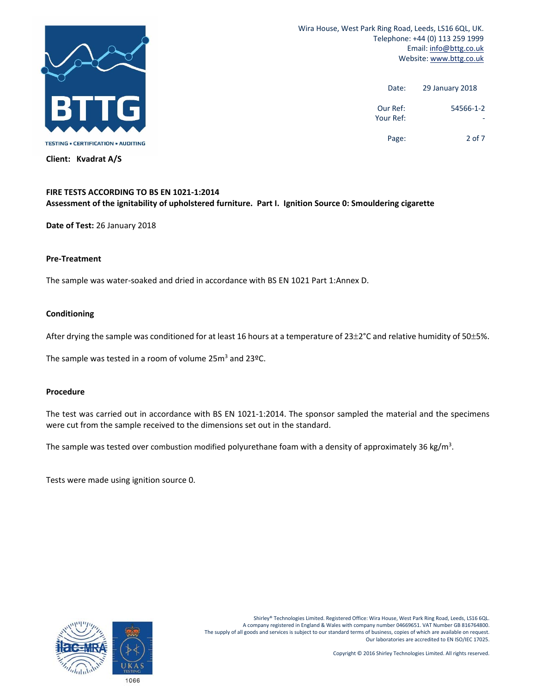

**Client: Kvadrat A/S** 

 Wira House, West Park Ring Road, Leeds, LS16 6QL, UK. Telephone: +44 (0) 113 259 1999 Email: info@bttg.co.uk Website: www.bttg.co.uk

| 29 January 2018 | Date:                 |
|-----------------|-----------------------|
| 54566-1-2       | Our Ref:<br>Your Ref: |
| $2$ of $7$      | Page:                 |

# **FIRE TESTS ACCORDING TO BS EN 1021‐1:2014**

#### **Assessment of the ignitability of upholstered furniture. Part I. Ignition Source 0: Smouldering cigarette**

**Date of Test:** 26 January 2018

#### **Pre‐Treatment**

The sample was water‐soaked and dried in accordance with BS EN 1021 Part 1:Annex D.

#### **Conditioning**

After drying the sample was conditioned for at least 16 hours at a temperature of  $23\pm2^{\circ}$ C and relative humidity of 50 $\pm$ 5%.

The sample was tested in a room of volume 25 $m^3$  and 23ºC.

#### **Procedure**

The test was carried out in accordance with BS EN 1021-1:2014. The sponsor sampled the material and the specimens were cut from the sample received to the dimensions set out in the standard.

The sample was tested over combustion modified polyurethane foam with a density of approximately 36 kg/m<sup>3</sup>.

Tests were made using ignition source 0.

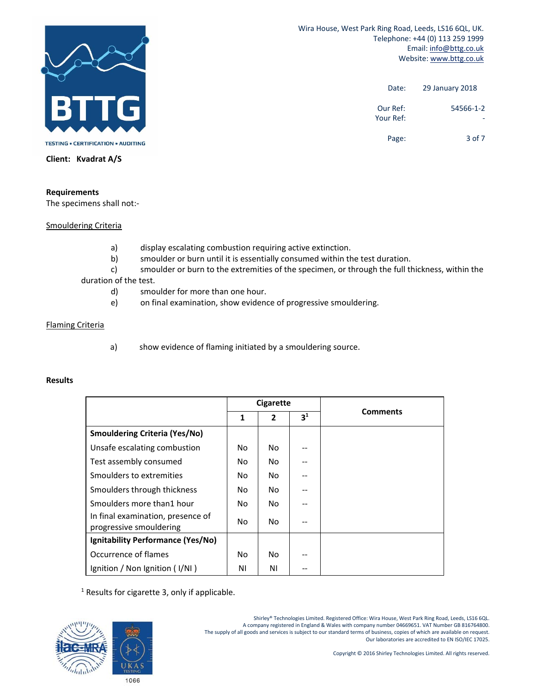

 Wira House, West Park Ring Road, Leeds, LS16 6QL, UK. Telephone: +44 (0) 113 259 1999 Email: info@bttg.co.uk Website: www.bttg.co.uk

| 29 January 2018 | Date:                 |
|-----------------|-----------------------|
| 54566-1-2       | Our Ref:<br>Your Ref: |
| 3 of 7          | Page:                 |

**Client: Kvadrat A/S** 

#### **Requirements**

The specimens shall not:‐

Smouldering Criteria

- a) display escalating combustion requiring active extinction.
- b) smoulder or burn until it is essentially consumed within the test duration.

 c) smoulder or burn to the extremities of the specimen, or through the full thickness, within the duration of the test.

- d) smoulder for more than one hour.
- e) on final examination, show evidence of progressive smouldering.

#### Flaming Criteria

a) show evidence of flaming initiated by a smouldering source.

#### **Results**

|                                                              | <b>Cigarette</b> |                |                |                 |
|--------------------------------------------------------------|------------------|----------------|----------------|-----------------|
|                                                              | 1                | $\overline{2}$ | 3 <sup>1</sup> | <b>Comments</b> |
| <b>Smouldering Criteria (Yes/No)</b>                         |                  |                |                |                 |
| Unsafe escalating combustion                                 | No               | No             |                |                 |
| Test assembly consumed                                       | No               | No             |                |                 |
| Smoulders to extremities                                     | No               | No             |                |                 |
| Smoulders through thickness                                  | No.              | No             |                |                 |
| Smoulders more than1 hour                                    | No               | No.            |                |                 |
| In final examination, presence of<br>progressive smouldering | No               | No             |                |                 |
| Ignitability Performance (Yes/No)                            |                  |                |                |                 |
| Occurrence of flames                                         | No               | No             |                |                 |
| Ignition / Non Ignition (I/NI)                               | ΝI               | ΝI             |                |                 |

 $<sup>1</sup>$  Results for cigarette 3, only if applicable.</sup>



Shirley® Technologies Limited. Registered Office: Wira House, West Park Ring Road, Leeds, LS16 6QL. A company registered in England & Wales with company number 04669651. VAT Number GB 816764800. The supply of all goods and services is subject to our standard terms of business, copies of which are available on request. Our laboratories are accredited to EN ISO/IEC 17025.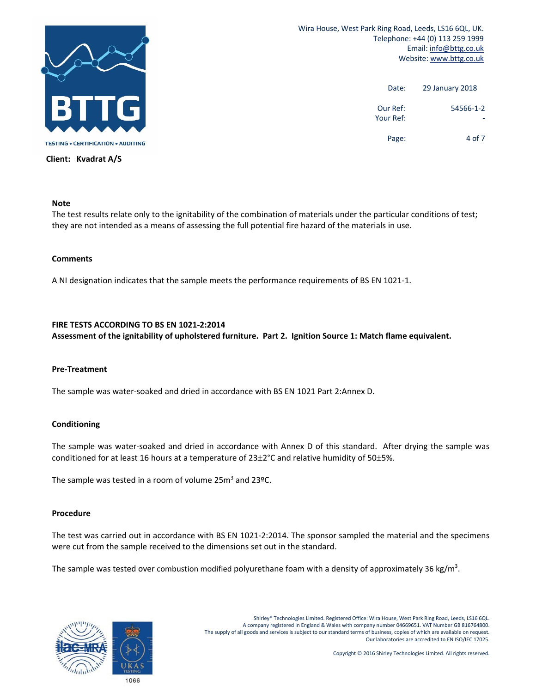

**Client: Kvadrat A/S** 

 Wira House, West Park Ring Road, Leeds, LS16 6QL, UK. Telephone: +44 (0) 113 259 1999 Email: info@bttg.co.uk Website: www.bttg.co.uk

| 29 January 2018 | Date:                 |
|-----------------|-----------------------|
| 54566-1-2       | Our Ref:<br>Your Ref: |
| 4 of 7          | Page:                 |

### **Note**

The test results relate only to the ignitability of the combination of materials under the particular conditions of test; they are not intended as a means of assessing the full potential fire hazard of the materials in use.

#### **Comments**

A NI designation indicates that the sample meets the performance requirements of BS EN 1021‐1.

#### **FIRE TESTS ACCORDING TO BS EN 1021‐2:2014**

**Assessment of the ignitability of upholstered furniture. Part 2. Ignition Source 1: Match flame equivalent.** 

#### **Pre‐Treatment**

The sample was water‐soaked and dried in accordance with BS EN 1021 Part 2:Annex D.

#### **Conditioning**

The sample was water-soaked and dried in accordance with Annex D of this standard. After drying the sample was conditioned for at least 16 hours at a temperature of  $23\pm2$ °C and relative humidity of 50 $\pm5\%$ .

The sample was tested in a room of volume 25 $m^3$  and 23ºC.

#### **Procedure**

The test was carried out in accordance with BS EN 1021‐2:2014. The sponsor sampled the material and the specimens were cut from the sample received to the dimensions set out in the standard.

The sample was tested over combustion modified polyurethane foam with a density of approximately 36 kg/m<sup>3</sup>.

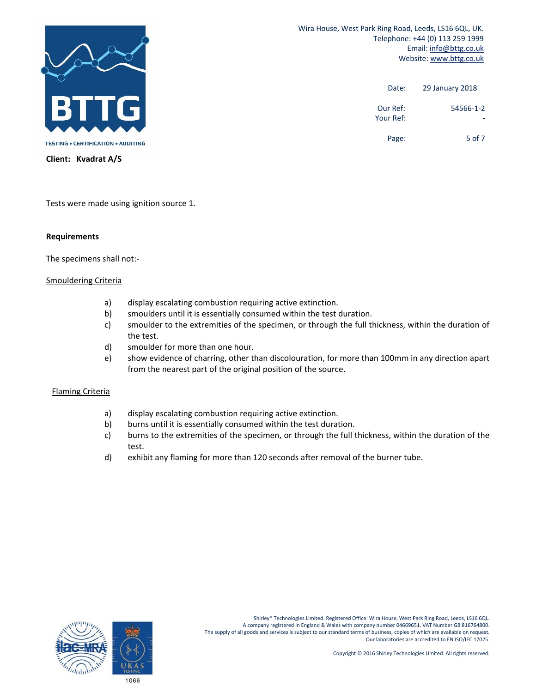

 Wira House, West Park Ring Road, Leeds, LS16 6QL, UK. Telephone: +44 (0) 113 259 1999 Email: info@bttg.co.uk Website: www.bttg.co.uk

| 29 January 2018 | Date:                 |
|-----------------|-----------------------|
| 54566-1-2       | Our Ref:<br>Your Ref: |
| 5 of 7          | Page:                 |

**Client: Kvadrat A/S** 

Tests were made using ignition source 1.

#### **Requirements**

The specimens shall not:‐

#### Smouldering Criteria

- a) display escalating combustion requiring active extinction.
- b) smoulders until it is essentially consumed within the test duration.
- c) smoulder to the extremities of the specimen, or through the full thickness, within the duration of the test.
- d) smoulder for more than one hour.
- e) show evidence of charring, other than discolouration, for more than 100mm in any direction apart from the nearest part of the original position of the source.

#### Flaming Criteria

- a) display escalating combustion requiring active extinction.
- b) burns until it is essentially consumed within the test duration.
- c) burns to the extremities of the specimen, or through the full thickness, within the duration of the test.
- d) exhibit any flaming for more than 120 seconds after removal of the burner tube.

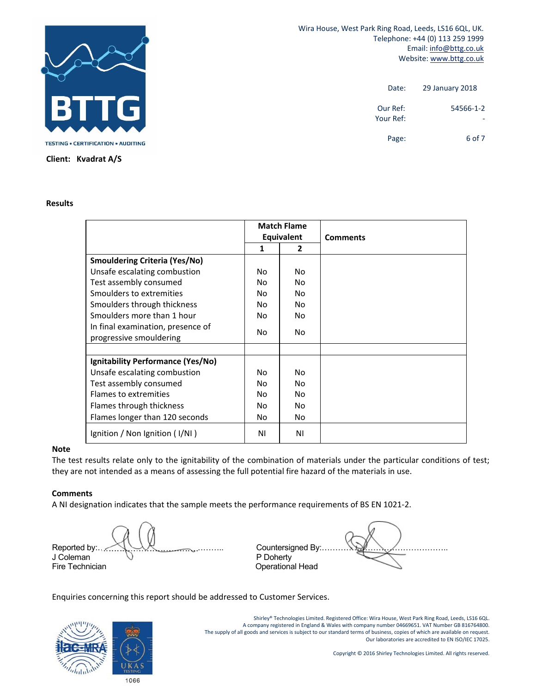

 Wira House, West Park Ring Road, Leeds, LS16 6QL, UK. Telephone: +44 (0) 113 259 1999 Email: info@bttg.co.uk Website: www.bttg.co.uk

| 29 January 2018 | Date:                 |
|-----------------|-----------------------|
| 54566-1-2       | Our Ref:<br>Your Ref: |
| 6 of 7          | Page:                 |

#### **Results**

|                                      |                | <b>Match Flame</b><br><b>Equivalent</b> | <b>Comments</b> |
|--------------------------------------|----------------|-----------------------------------------|-----------------|
|                                      | 1              | $\mathbf{2}$                            |                 |
| <b>Smouldering Criteria (Yes/No)</b> |                |                                         |                 |
| Unsafe escalating combustion         | Nο             | No.                                     |                 |
| Test assembly consumed               | Nο             | No                                      |                 |
| Smoulders to extremities             | No             | Nο                                      |                 |
| Smoulders through thickness          | No             | No.                                     |                 |
| Smoulders more than 1 hour           | No             | No                                      |                 |
| In final examination, presence of    |                |                                         |                 |
| progressive smouldering              | No.            | No                                      |                 |
|                                      |                |                                         |                 |
| Ignitability Performance (Yes/No)    |                |                                         |                 |
| Unsafe escalating combustion         | N <sub>0</sub> | No.                                     |                 |
| Test assembly consumed               | Nο             | No.                                     |                 |
| Flames to extremities                | No.            | No                                      |                 |
| Flames through thickness             | No             | No.                                     |                 |
| Flames longer than 120 seconds       | No             | No                                      |                 |
| Ignition / Non Ignition (I/NI)       | ΝI             | ΝI                                      |                 |

#### **Note**

The test results relate only to the ignitability of the combination of materials under the particular conditions of test; they are not intended as a means of assessing the full potential fire hazard of the materials in use.

#### **Comments**

A NI designation indicates that the sample meets the performance requirements of BS EN 1021‐2.

Reported by:……………………………………….. Countersigned By:……………………………………….. J Coleman  $\cup$  P Doherty Fire Technician **Contract Contract Contract Contract Contract Contract Contract Contract Contract Contract Contract Contract Contract Contract Contract Contract Contract Contract Contract Contract Contract Contract Contrac** 

Enquiries concerning this report should be addressed to Customer Services.



Shirley® Technologies Limited. Registered Office: Wira House, West Park Ring Road, Leeds, LS16 6QL. A company registered in England & Wales with company number 04669651. VAT Number GB 816764800. The supply of all goods and services is subject to our standard terms of business, copies of which are available on request. Our laboratories are accredited to EN ISO/IEC 17025.